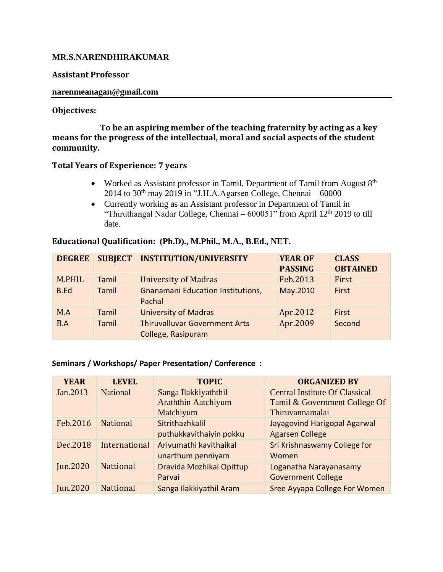# **MR.S.NARENDHIRAKUMAR**

## **Assistant Professor**

### **narenmeanagan@gmail.com**

### **Objectives:**

 **To be an aspiring member of the teaching fraternity by acting as a key means for the progress of the intellectual, moral and social aspects of the student community.**

## **Total Years of Experience: 7 years**

- Worked as Assistant professor in Tamil, Department of Tamil from August  $8<sup>th</sup>$ 2014 to  $30<sup>th</sup>$  may 2019 in "J.H.A.Agarsen College, Chennai – 60000
- Currently working as an Assistant professor in Department of Tamil in "Thiruthangal Nadar College, Chennai –  $600051$ " from April 12<sup>th</sup> 2019 to till date.

| <b>DEGREE</b> | <b>SUBJECT</b> | <b>INSTITUTION/UNIVERSITY</b>                              | <b>YEAR OF</b><br><b>PASSING</b> | <b>CLASS</b><br><b>OBTAINED</b> |
|---------------|----------------|------------------------------------------------------------|----------------------------------|---------------------------------|
| M.PHIL        | Tamil          | <b>University of Madras</b>                                | Feb.2013                         | First                           |
| B.Ed          | Tamil          | <b>Gnanamani Education Institutions,</b><br>Pachal         | May.2010                         | <b>First</b>                    |
| M.A           | Tamil          | <b>University of Madras</b>                                | Apr.2012                         | <b>First</b>                    |
| B.A           | Tamil          | <b>Thiruvalluvar Government Arts</b><br>College, Rasipuram | Apr.2009                         | Second                          |

#### **Educational Qualification: (Ph.D)., M.Phil., M.A., B.Ed., NET.**

#### **Seminars / Workshops/ Paper Presentation/ Conference :**

| <b>YEAR</b> | <b>LEVEL</b>     | <b>TOPIC</b>               | <b>ORGANIZED BY</b>                   |
|-------------|------------------|----------------------------|---------------------------------------|
| Jan.2013    | <b>National</b>  | Sanga Ilakkiyaththil       | <b>Central Institute Of Classical</b> |
|             |                  | <b>Araththin Aatchiyum</b> | Tamil & Government College Of         |
|             |                  | Matchiyum                  | Thiruvannamalai                       |
| Feb.2016    | <b>National</b>  | Sitrithazhkalil            | Jayagovind Harigopal Agarwal          |
|             |                  | puthukkavithaiyin pokku    | <b>Agarsen College</b>                |
| Dec.2018    | International    | Arivumathi kavithaikal     | <b>Sri Krishnaswamy College for</b>   |
|             |                  | unarthum penniyam          | Women                                 |
| Jun.2020    | <b>Nattional</b> | Dravida Mozhikal Opittup   | Loganatha Narayanasamy                |
|             |                  | Parvai                     | <b>Government College</b>             |
| Jun.2020    | <b>Nattional</b> | Sanga Ilakkiyathil Aram    | <b>Sree Ayyapa College For Women</b>  |